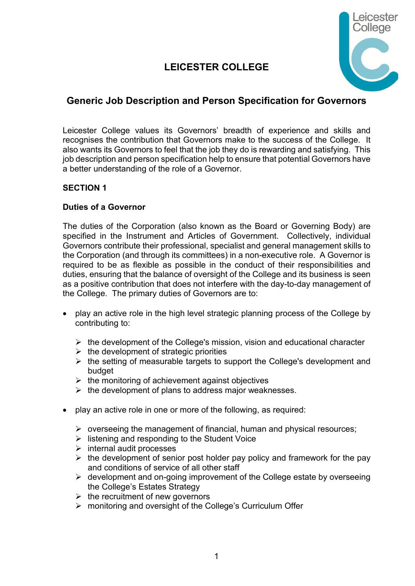# **LEICESTER COLLEGE**



# **Generic Job Description and Person Specification for Governors**

Leicester College values its Governors' breadth of experience and skills and recognises the contribution that Governors make to the success of the College. It also wants its Governors to feel that the job they do is rewarding and satisfying. This job description and person specification help to ensure that potential Governors have a better understanding of the role of a Governor.

#### **SECTION 1**

#### **Duties of a Governor**

The duties of the Corporation (also known as the Board or Governing Body) are specified in the Instrument and Articles of Government. Collectively, individual Governors contribute their professional, specialist and general management skills to the Corporation (and through its committees) in a non-executive role. A Governor is required to be as flexible as possible in the conduct of their responsibilities and duties, ensuring that the balance of oversight of the College and its business is seen as a positive contribution that does not interfere with the day-to-day management of the College. The primary duties of Governors are to:

- play an active role in the high level strategic planning process of the College by contributing to:
	- $\triangleright$  the development of the College's mission, vision and educational character
	- $\triangleright$  the development of strategic priorities
	- $\triangleright$  the setting of measurable targets to support the College's development and budget
	- $\triangleright$  the monitoring of achievement against objectives
	- $\triangleright$  the development of plans to address major weaknesses.
- play an active role in one or more of the following, as required:
	- $\triangleright$  overseeing the management of financial, human and physical resources;
	- $\triangleright$  listening and responding to the Student Voice
	- $\triangleright$  internal audit processes
	- $\triangleright$  the development of senior post holder pay policy and framework for the pay and conditions of service of all other staff
	- $\triangleright$  development and on-going improvement of the College estate by overseeing the College's Estates Strategy
	- $\triangleright$  the recruitment of new governors
	- monitoring and oversight of the College's Curriculum Offer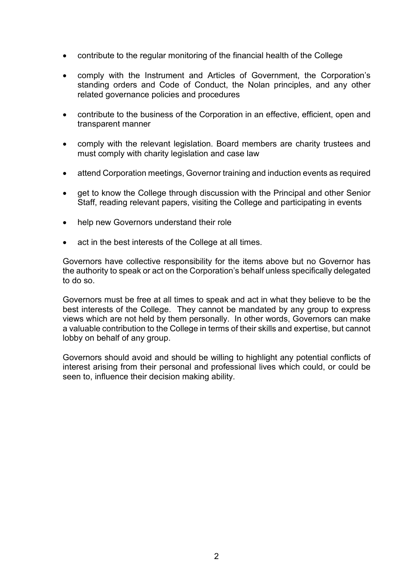- contribute to the regular monitoring of the financial health of the College
- comply with the Instrument and Articles of Government, the Corporation's standing orders and Code of Conduct, the Nolan principles, and any other related governance policies and procedures
- contribute to the business of the Corporation in an effective, efficient, open and transparent manner
- comply with the relevant legislation. Board members are charity trustees and must comply with charity legislation and case law
- attend Corporation meetings, Governor training and induction events as required
- get to know the College through discussion with the Principal and other Senior Staff, reading relevant papers, visiting the College and participating in events
- help new Governors understand their role
- act in the best interests of the College at all times.

Governors have collective responsibility for the items above but no Governor has the authority to speak or act on the Corporation's behalf unless specifically delegated to do so.

Governors must be free at all times to speak and act in what they believe to be the best interests of the College. They cannot be mandated by any group to express views which are not held by them personally. In other words, Governors can make a valuable contribution to the College in terms of their skills and expertise, but cannot lobby on behalf of any group.

Governors should avoid and should be willing to highlight any potential conflicts of interest arising from their personal and professional lives which could, or could be seen to, influence their decision making ability.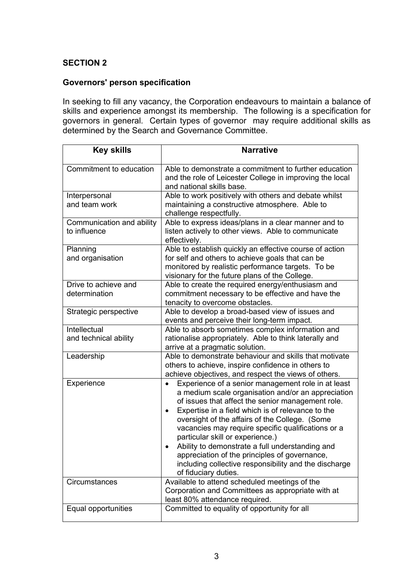## **SECTION 2**

# **Governors' person specification**

In seeking to fill any vacancy, the Corporation endeavours to maintain a balance of skills and experience amongst its membership. The following is a specification for governors in general. Certain types of governor may require additional skills as determined by the Search and Governance Committee.

| <b>Key skills</b>                         | <b>Narrative</b>                                                                                                                                                                                                                                                                                                                                                                                                                                                                                                                                                 |
|-------------------------------------------|------------------------------------------------------------------------------------------------------------------------------------------------------------------------------------------------------------------------------------------------------------------------------------------------------------------------------------------------------------------------------------------------------------------------------------------------------------------------------------------------------------------------------------------------------------------|
| Commitment to education                   | Able to demonstrate a commitment to further education<br>and the role of Leicester College in improving the local<br>and national skills base.                                                                                                                                                                                                                                                                                                                                                                                                                   |
| Interpersonal<br>and team work            | Able to work positively with others and debate whilst<br>maintaining a constructive atmosphere. Able to<br>challenge respectfully.                                                                                                                                                                                                                                                                                                                                                                                                                               |
| Communication and ability<br>to influence | Able to express ideas/plans in a clear manner and to<br>listen actively to other views. Able to communicate<br>effectively.                                                                                                                                                                                                                                                                                                                                                                                                                                      |
| Planning<br>and organisation              | Able to establish quickly an effective course of action<br>for self and others to achieve goals that can be<br>monitored by realistic performance targets. To be<br>visionary for the future plans of the College.                                                                                                                                                                                                                                                                                                                                               |
| Drive to achieve and<br>determination     | Able to create the required energy/enthusiasm and<br>commitment necessary to be effective and have the<br>tenacity to overcome obstacles.                                                                                                                                                                                                                                                                                                                                                                                                                        |
| Strategic perspective                     | Able to develop a broad-based view of issues and<br>events and perceive their long-term impact.                                                                                                                                                                                                                                                                                                                                                                                                                                                                  |
| Intellectual<br>and technical ability     | Able to absorb sometimes complex information and<br>rationalise appropriately. Able to think laterally and<br>arrive at a pragmatic solution.                                                                                                                                                                                                                                                                                                                                                                                                                    |
| Leadership                                | Able to demonstrate behaviour and skills that motivate<br>others to achieve, inspire confidence in others to<br>achieve objectives, and respect the views of others.                                                                                                                                                                                                                                                                                                                                                                                             |
| Experience                                | Experience of a senior management role in at least<br>a medium scale organisation and/or an appreciation<br>of issues that affect the senior management role.<br>Expertise in a field which is of relevance to the<br>$\bullet$<br>oversight of the affairs of the College. (Some<br>vacancies may require specific qualifications or a<br>particular skill or experience.)<br>Ability to demonstrate a full understanding and<br>appreciation of the principles of governance,<br>including collective responsibility and the discharge<br>of fiduciary duties. |
| Circumstances                             | Available to attend scheduled meetings of the<br>Corporation and Committees as appropriate with at<br>least 80% attendance required.                                                                                                                                                                                                                                                                                                                                                                                                                             |
| Equal opportunities                       | Committed to equality of opportunity for all                                                                                                                                                                                                                                                                                                                                                                                                                                                                                                                     |